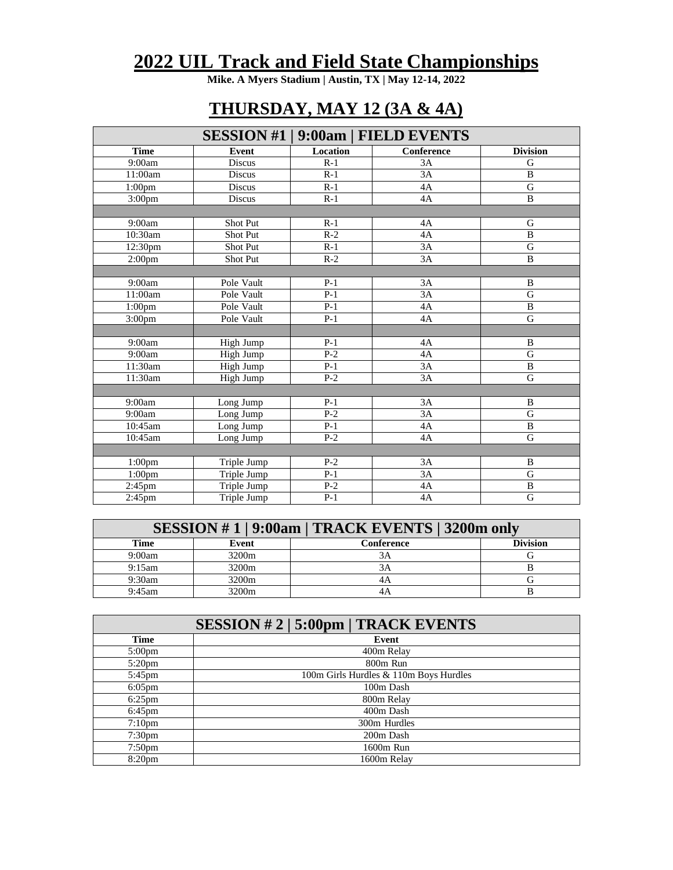## **2022 UIL Track and Field State Championships**

**Mike. A Myers Stadium | Austin, TX | May 12-14, 2022**

## **THURSDAY, MAY 12 (3A & 4A)**

|                       |                 |                 | <b>SESSION #1   9:00am   FIELD EVENTS</b> |                 |
|-----------------------|-----------------|-----------------|-------------------------------------------|-----------------|
| <b>Time</b>           | <b>Event</b>    | <b>Location</b> | Conference                                | <b>Division</b> |
| 9:00am                | <b>Discus</b>   | $R-1$           | 3A                                        | G               |
| 11:00am               | <b>Discus</b>   | $R-1$           | 3A                                        | B               |
| 1:00 <sub>pm</sub>    | <b>Discus</b>   | $R-1$           | 4A                                        | $\mathsf{G}$    |
| 3:00 <sub>pm</sub>    | <b>Discus</b>   | $R-1$           | 4A                                        | $\, {\bf B}$    |
|                       |                 |                 |                                           |                 |
| 9:00am                | Shot Put        | $R-1$           | 4A                                        | G               |
| $\overline{10:}30$ am | <b>Shot Put</b> | $R-2$           | 4A                                        | $\mathbf{B}$    |
| 12:30pm               | Shot Put        | $R-1$           | 3A                                        | $\overline{G}$  |
| 2:00 <sub>pm</sub>    | Shot Put        | $R-2$           | 3A                                        | $\, {\bf B}$    |
|                       |                 |                 |                                           |                 |
| 9:00am                | Pole Vault      | $P-1$           | 3A                                        | $\, {\bf B}$    |
| 11:00am               | Pole Vault      | $P-1$           | 3A                                        | $\overline{G}$  |
| 1:00 <sub>pm</sub>    | Pole Vault      | $P-1$           | 4A                                        | B               |
| 3:00 <sub>pm</sub>    | Pole Vault      | $P-1$           | 4A                                        | G               |
|                       |                 |                 |                                           |                 |
| 9:00am                | High Jump       | $P-1$           | 4A                                        | B               |
| 9:00am                | High Jump       | $P-2$           | 4A                                        | $\mathsf{G}$    |
| 11:30am               | High Jump       | $P-1$           | 3A                                        | B               |
| 11:30am               | High Jump       | $P-2$           | 3A                                        | $\mathsf{G}$    |
|                       |                 |                 |                                           |                 |
| 9:00am                | Long Jump       | $P-1$           | 3A                                        | B               |
| 9:00am                | Long Jump       | $P-2$           | 3A                                        | $\mathsf{G}$    |
| 10:45am               | Long Jump       | $P-1$           | 4A                                        | $\, {\bf B}$    |
| 10:45am               | Long Jump       | $P-2$           | 4A                                        | $\mathbf G$     |
|                       |                 |                 |                                           |                 |
| 1:00 <sub>pm</sub>    | Triple Jump     | $P-2$           | 3A                                        | B               |
| 1:00 <sub>pm</sub>    | Triple Jump     | $P-1$           | $\overline{3A}$                           | $\mathbf G$     |
| $2:45$ pm             | Triple Jump     | $P-2$           | 4A                                        | $\overline{B}$  |
| $2:45$ pm             | Triple Jump     | $P-1$           | 4A                                        | $\mathbf G$     |

| SESSION #1 9:00am   TRACK EVENTS   3200m only |                   |            |                 |
|-----------------------------------------------|-------------------|------------|-----------------|
| Time                                          | Event             | Conference | <b>Division</b> |
| 9:00am                                        | 3200 <sub>m</sub> | 3A         |                 |
| 9:15am                                        | 3200 <sub>m</sub> | 3A         |                 |
| 9:30am                                        | 3200m             | 4Α         |                 |
| 9:45am                                        | 3200m             | 4A         |                 |

|                    | SESSION # 2   5:00pm   TRACK EVENTS    |
|--------------------|----------------------------------------|
| Time               | Event                                  |
| $5:00 \text{pm}$   | 400m Relay                             |
| $5:20$ pm          | 800m Run                               |
| 5:45pm             | 100m Girls Hurdles & 110m Boys Hurdles |
| $6:05$ pm          | 100m Dash                              |
| $6:25$ pm          | 800m Relay                             |
| $6:45$ pm          | 400m Dash                              |
| 7:10 <sub>pm</sub> | 300m Hurdles                           |
| 7:30 <sub>pm</sub> | 200m Dash                              |
| 7:50 <sub>pm</sub> | 1600m Run                              |
| 8:20 <sub>pm</sub> | 1600m Relay                            |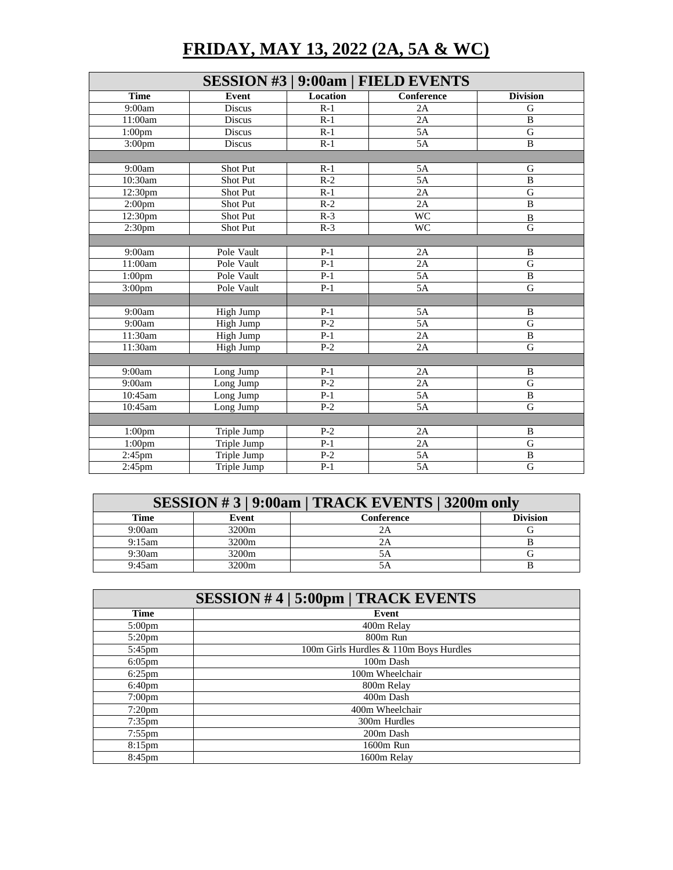## **FRIDAY, MAY 13, 2022 (2A, 5A & WC)**

|                    |                 |                  | <b>SESSION #3   9:00am   FIELD EVENTS</b> |                 |
|--------------------|-----------------|------------------|-------------------------------------------|-----------------|
| <b>Time</b>        | <b>Event</b>    | Location         | $\overline{\text{Conf}}$ erence           | <b>Division</b> |
| 9:00am             | Discus          | $R-1$            | 2A                                        | G               |
| 11:00am            | Discus          | $R-1$            | 2A                                        | $\overline{B}$  |
| 1:00 <sub>pm</sub> | Discus          | $R-1$            | 5A                                        | $\mathbf G$     |
| 3:00 <sub>pm</sub> | <b>Discus</b>   | $R-1$            | 5A                                        | $\mathbf{B}$    |
|                    |                 |                  |                                           |                 |
| 9:00am             | Shot Put        | $R-1$            | 5A                                        | G               |
| 10:30am            | <b>Shot Put</b> | $\overline{R-2}$ | 5A                                        | $\overline{B}$  |
| 12:30pm            | Shot Put        | $R-1$            | 2A                                        | $\overline{G}$  |
| 2:00 <sub>pm</sub> | Shot Put        | $R-2$            | 2A                                        | $\, {\bf B}$    |
| 12:30pm            | Shot Put        | $R-3$            | <b>WC</b>                                 | $\overline{B}$  |
| 2:30 <sub>pm</sub> | Shot Put        | $R-3$            | <b>WC</b>                                 | $\overline{G}$  |
|                    |                 |                  |                                           |                 |
| 9:00am             | Pole Vault      | $P-1$            | 2A                                        | $\mathbf B$     |
| 11:00am            | Pole Vault      | $P-1$            | 2A                                        | $\overline{G}$  |
| 1:00 <sub>pm</sub> | Pole Vault      | $P-1$            | 5A                                        | B               |
| 3:00pm             | Pole Vault      | $P-1$            | $5\overline{A}$                           | $\mathbf G$     |
|                    |                 |                  |                                           |                 |
| 9:00am             | High Jump       | $P-1$            | 5A                                        | B               |
| 9:00am             | High Jump       | $\overline{P-2}$ | 5A                                        | G               |
| 11:30am            | High Jump       | $P-1$            | 2A                                        | $\, {\bf B}$    |
| 11:30am            | High Jump       | $P-2$            | 2A                                        | G               |
|                    |                 |                  |                                           |                 |
| 9:00am             | Long Jump       | $P-1$            | 2A                                        | B               |
| 9:00am             | Long Jump       | $P-2$            | 2A                                        | G               |
| 10:45am            | Long Jump       | $P-1$            | 5A                                        | $\overline{B}$  |
| 10:45am            | Long Jump       | $P-2$            | $5\overline{A}$                           | $\mathbf G$     |
|                    |                 |                  |                                           |                 |
| 1:00 <sub>pm</sub> | Triple Jump     | $P-2$            | 2A                                        | B               |
| 1:00 <sub>pm</sub> | Triple Jump     | $P-1$            | 2A                                        | $\overline{G}$  |
| $2:45$ pm          | Triple Jump     | $P-2$            | 5A                                        | $\overline{B}$  |
| $2:45$ pm          | Triple Jump     | $P-1$            | $5\overline{A}$                           | G               |

| SESSION #3 9:00am   TRACK EVENTS   3200m only |                   |            |                 |
|-----------------------------------------------|-------------------|------------|-----------------|
| Time                                          | Event             | Conference | <b>Division</b> |
| 9:00am                                        | 3200 <sub>m</sub> |            |                 |
| 9:15am                                        | 3200 <sub>m</sub> | 2Α         |                 |
| 9:30am                                        | 3200 <sub>m</sub> | 5Α         |                 |
| 9:45am                                        | 3200 <sub>m</sub> |            |                 |

| <b>SESSION #4   5:00pm   TRACK EVENTS</b> |                                        |  |
|-------------------------------------------|----------------------------------------|--|
| Time                                      | Event                                  |  |
| $5:00 \text{pm}$                          | 400m Relay                             |  |
| $5:20$ pm                                 | 800m Run                               |  |
| 5:45pm                                    | 100m Girls Hurdles & 110m Boys Hurdles |  |
| $6:05$ pm                                 | 100m Dash                              |  |
| $6:25$ pm                                 | 100m Wheelchair                        |  |
| $6:40 \text{pm}$                          | 800m Relay                             |  |
| $7:00 \text{pm}$                          | 400m Dash                              |  |
| $7:20$ pm                                 | 400m Wheelchair                        |  |
| $7:35$ pm                                 | 300m Hurdles                           |  |
| $7:55$ pm                                 | 200m Dash                              |  |
| $8:15$ pm                                 | 1600m Run                              |  |
| 8:45 <sub>pm</sub>                        | 1600m Relay                            |  |